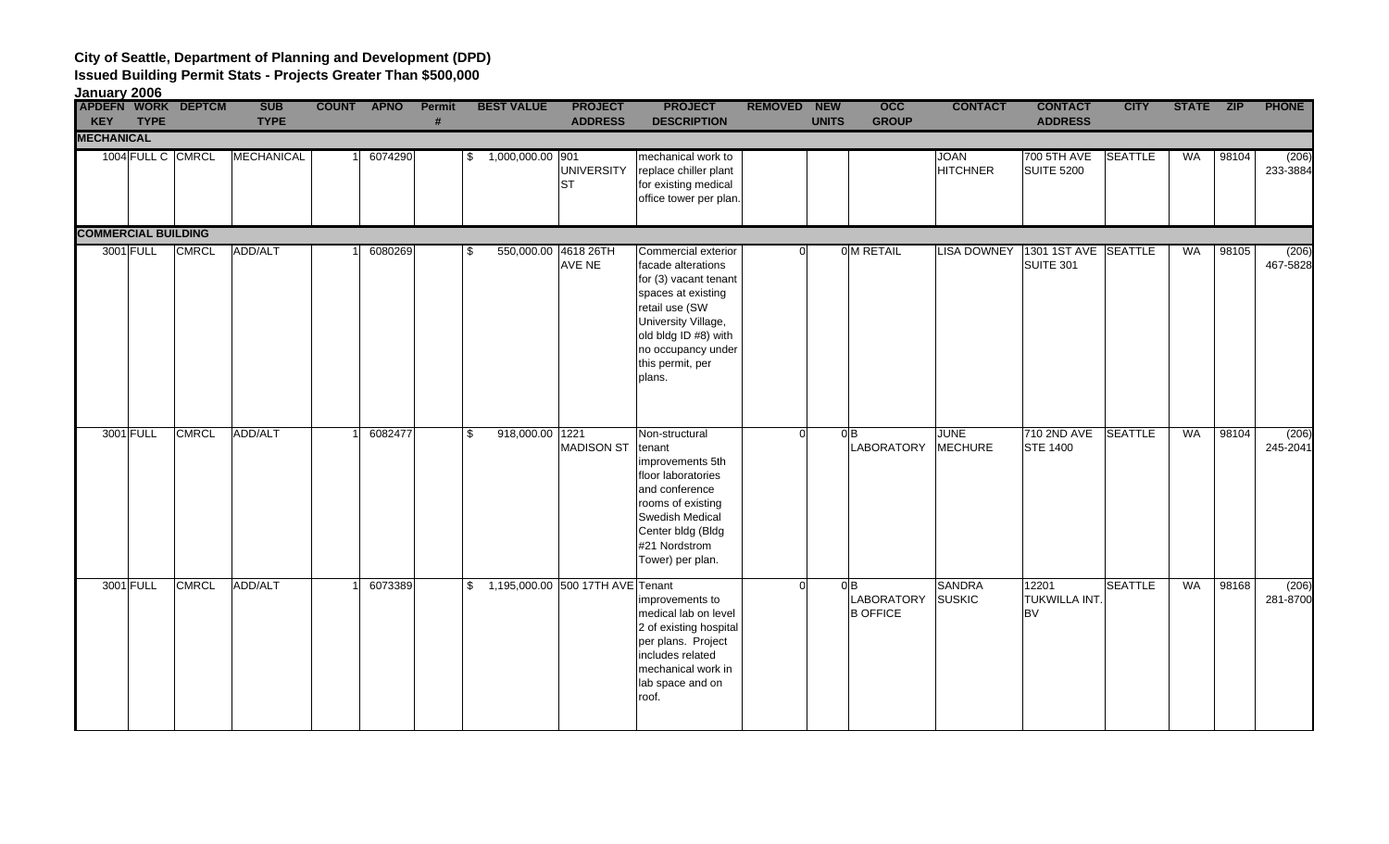**Issued Building Permit Stats - Projects Greater Than \$500,000**

**January 2006**

| <b>KEY</b>                 | <b>TYPE</b> | APDEFN WORK DEPTCM | <b>SUB</b><br><b>TYPE</b> | <b>COUNT APNO</b> |         | Permit | <b>BEST VALUE</b>                   | <b>PROJECT</b><br><b>ADDRESS</b> | <b>PROJECT</b><br><b>DESCRIPTION</b>                                                                                                                                                                          | REMOVED NEW | <b>UNITS</b>     | occ<br><b>GROUP</b>                  | <b>CONTACT</b>                 | <b>CONTACT</b><br><b>ADDRESS</b>                  | <b>CITY</b>    | STATE ZIP |       | <b>PHONE</b>      |
|----------------------------|-------------|--------------------|---------------------------|-------------------|---------|--------|-------------------------------------|----------------------------------|---------------------------------------------------------------------------------------------------------------------------------------------------------------------------------------------------------------|-------------|------------------|--------------------------------------|--------------------------------|---------------------------------------------------|----------------|-----------|-------|-------------------|
| <b>MECHANICAL</b>          |             |                    |                           |                   |         |        |                                     |                                  |                                                                                                                                                                                                               |             |                  |                                      |                                |                                                   |                |           |       |                   |
|                            |             | 1004 FULL C CMRCL  | MECHANICAL                |                   | 6074290 |        | $$1,000,000.00$ 901                 | <b>UNIVERSITY</b><br><b>ST</b>   | mechanical work to<br>replace chiller plant<br>for existing medical<br>office tower per plan.                                                                                                                 |             |                  |                                      | <b>JOAN</b><br><b>HITCHNER</b> | 700 5TH AVE<br><b>SUITE 5200</b>                  | <b>SEATTLE</b> | <b>WA</b> | 98104 | (206)<br>233-3884 |
| <b>COMMERCIAL BUILDING</b> |             |                    |                           |                   |         |        |                                     |                                  |                                                                                                                                                                                                               |             |                  |                                      |                                |                                                   |                |           |       |                   |
|                            | 3001 FULL   | <b>CMRCL</b>       | ADD/ALT                   |                   | 6080269 |        | 550,000.00 4618 26TH<br>S.          | AVE NE                           | Commercial exterior<br>facade alterations<br>for (3) vacant tenant<br>spaces at existing<br>retail use (SW<br>University Village,<br>old bldg ID #8) with<br>no occupancy under<br>this permit, per<br>plans. |             |                  | 0 M RETAIL                           |                                | LISA DOWNEY   1301 1ST AVE   SEATTLE<br>SUITE 301 |                | WA        | 98105 | (206)<br>467-5828 |
|                            | 3001 FULL   | <b>CMRCL</b>       | ADD/ALT                   |                   | 6082477 |        | 918,000.00 1221<br>\$               | <b>MADISON ST</b>                | Non-structural<br>tenant<br>improvements 5th<br>floor laboratories<br>and conference<br>rooms of existing<br>Swedish Medical<br>Center bldg (Bldg<br>#21 Nordstrom<br>Tower) per plan.                        | $\Omega$    | $O$ <sub>B</sub> | LABORATORY                           | <b>JUNE</b><br><b>MECHURE</b>  | 710 2ND AVE SEATTLE<br><b>STE 1400</b>            |                | <b>WA</b> | 98104 | (206)<br>245-2041 |
|                            | 3001 FULL   | <b>CMRCL</b>       | ADD/ALT                   |                   | 6073389 |        | \$ 1,195,000.00 500 17TH AVE Tenant |                                  | improvements to<br>medical lab on level<br>2 of existing hospital<br>per plans. Project<br>includes related<br>mechanical work in<br>lab space and on<br>roof.                                                | $\Omega$    | 0B               | <b>LABORATORY</b><br><b>B OFFICE</b> | <b>SANDRA</b><br><b>SUSKIC</b> | 12201<br>TUKWILLA INT.<br><b>BV</b>               | <b>SEATTLE</b> | WA        | 98168 | (206)<br>281-8700 |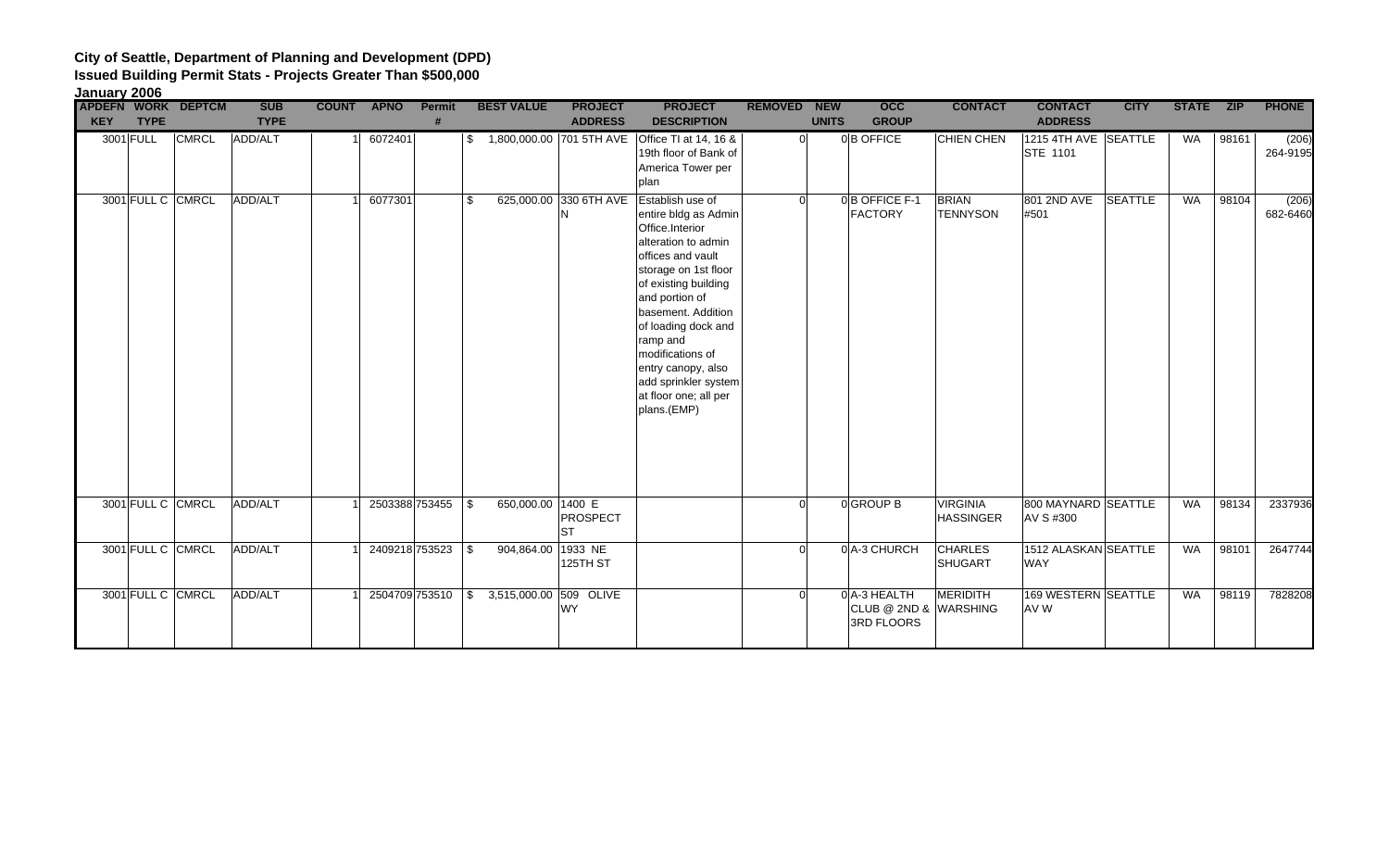| January 2006 |                   |                           |                           |              |                |                    |                              |                                  |                                                                                                                                                                                                                                                                                                                                                                     |                |                            |                                                    |                                     |                                         |                |              |       |                   |
|--------------|-------------------|---------------------------|---------------------------|--------------|----------------|--------------------|------------------------------|----------------------------------|---------------------------------------------------------------------------------------------------------------------------------------------------------------------------------------------------------------------------------------------------------------------------------------------------------------------------------------------------------------------|----------------|----------------------------|----------------------------------------------------|-------------------------------------|-----------------------------------------|----------------|--------------|-------|-------------------|
| <b>KEY</b>   | <b>TYPE</b>       | <b>APDEFN WORK DEPTCM</b> | <b>SUB</b><br><b>TYPE</b> | <b>COUNT</b> | <b>APNO</b>    | <b>Permit</b><br># | <b>BEST VALUE</b>            | <b>PROJECT</b><br><b>ADDRESS</b> | <b>PROJECT</b><br><b>DESCRIPTION</b>                                                                                                                                                                                                                                                                                                                                | <b>REMOVED</b> | <b>NEW</b><br><b>UNITS</b> | $\overline{occ}$<br><b>GROUP</b>                   | <b>CONTACT</b>                      | <b>CONTACT</b><br><b>ADDRESS</b>        | <b>CITY</b>    | <b>STATE</b> | ZIP   | <b>PHONE</b>      |
|              | 3001 FULL         | <b>CMRCL</b>              | ADD/ALT                   |              | 6072401        |                    |                              |                                  | \$1,800,000.00 701 5TH AVE Office TI at 14, 16 &<br>19th floor of Bank of<br>America Tower per<br>plan                                                                                                                                                                                                                                                              |                | $\Omega$                   | 0B OFFICE                                          | <b>CHIEN CHEN</b>                   | 1215 4TH AVE SEATTLE<br><b>STE 1101</b> |                | WA           | 98161 | (206)<br>264-9195 |
|              | 3001 FULL C CMRCL |                           | ADD/ALT                   |              | 6077301        |                    |                              | N                                | 625,000.00 330 6TH AVE Establish use of<br>entire bldg as Admin<br>Office.Interior<br>alteration to admin<br>offices and vault<br>storage on 1st floor<br>of existing building<br>and portion of<br>basement. Addition<br>of loading dock and<br>ramp and<br>modifications of<br>entry canopy, also<br>add sprinkler system<br>at floor one; all per<br>plans.(EMP) | $\Omega$       |                            | 0B OFFICE F-1<br><b>FACTORY</b>                    | <b>BRIAN</b><br><b>TENNYSON</b>     | 801 2ND AVE<br>#501                     | <b>SEATTLE</b> | <b>WA</b>    | 98104 | (206)<br>682-6460 |
|              | 3001 FULL C CMRCL |                           | ADD/ALT                   |              |                | 2503388 753455 \$  | 650,000.00 1400 E            | PROSPECT<br><b>ST</b>            |                                                                                                                                                                                                                                                                                                                                                                     |                |                            | 0 GROUP B                                          | <b>VIRGINIA</b><br><b>HASSINGER</b> | 800 MAYNARD SEATTLE<br>AV S #300        |                | <b>WA</b>    | 98134 | 2337936           |
|              | 3001 FULL C CMRCL |                           | ADD/ALT                   |              | 2409218 753523 |                    | 904,864.00<br>\$             | 1933 NE<br>125TH ST              |                                                                                                                                                                                                                                                                                                                                                                     | $\Omega$       |                            | 0A-3 CHURCH                                        | <b>CHARLES</b><br><b>SHUGART</b>    | <b>1512 ALASKAN SEATTLE</b><br>WAY      |                | <b>WA</b>    | 98101 | 2647744           |
|              | 3001 FULL C CMRCL |                           | ADD/ALT                   |              |                | 2504709 753510     | 3,515,000.00 509 OLIVE<br>\$ | <b>WY</b>                        |                                                                                                                                                                                                                                                                                                                                                                     |                |                            | 0A-3 HEALTH<br>CLUB @ 2ND & WARSHING<br>3RD FLOORS | <b>MERIDITH</b>                     | 169 WESTERN SEATTLE<br>AV W             |                | <b>WA</b>    | 98119 | 7828208           |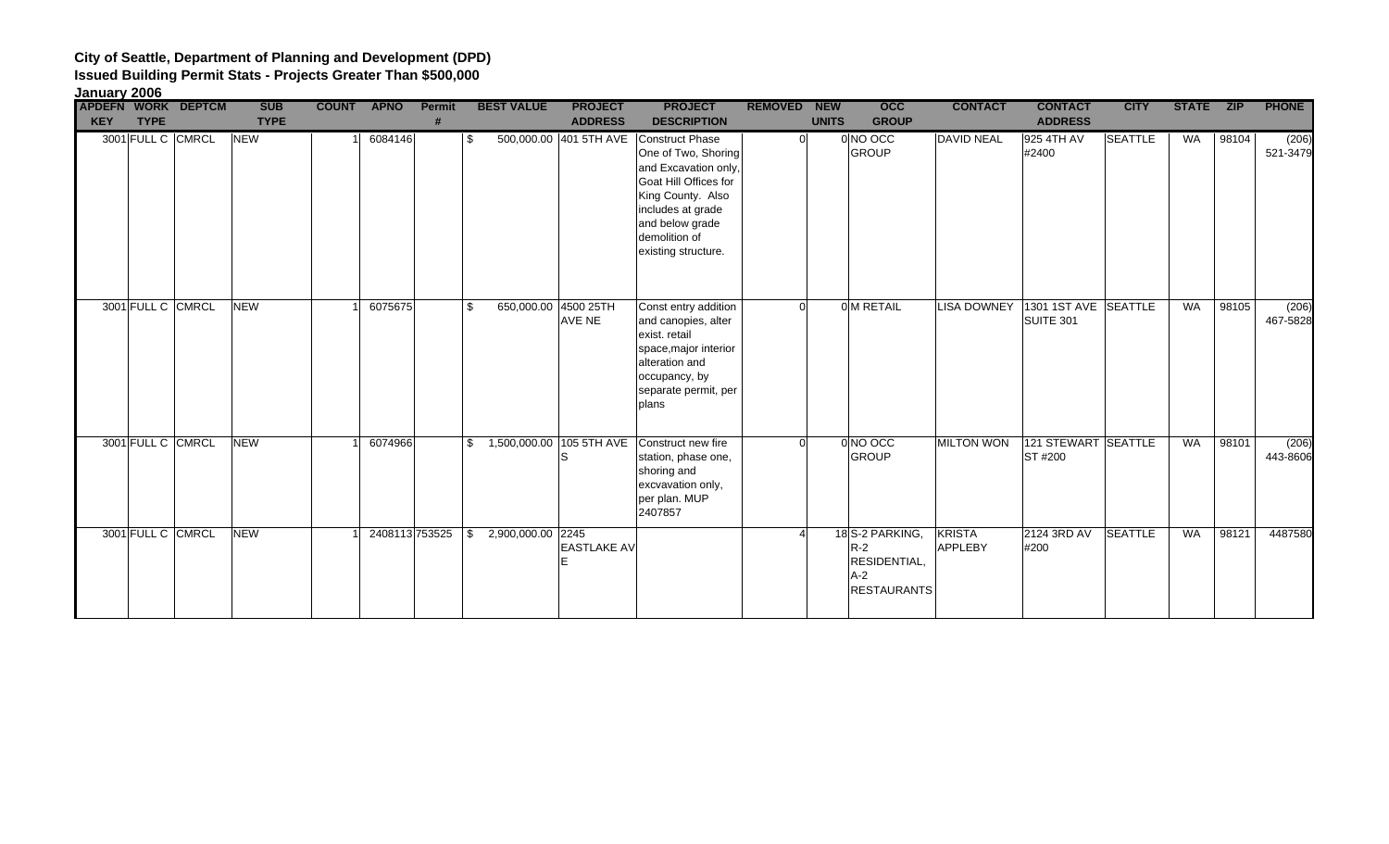| January 2006 |                   |                           |             |              |                |               |                         |                                |                                                                                                                                                                                                     |                |              |                                                                        |                                 |                                               |                |              |            |                   |
|--------------|-------------------|---------------------------|-------------|--------------|----------------|---------------|-------------------------|--------------------------------|-----------------------------------------------------------------------------------------------------------------------------------------------------------------------------------------------------|----------------|--------------|------------------------------------------------------------------------|---------------------------------|-----------------------------------------------|----------------|--------------|------------|-------------------|
|              |                   | <b>APDEFN WORK DEPTCM</b> | <b>SUB</b>  | <b>COUNT</b> | <b>APNO</b>    | <b>Permit</b> | <b>BEST VALUE</b>       | <b>PROJECT</b>                 | <b>PROJECT</b>                                                                                                                                                                                      | <b>REMOVED</b> | <b>NEW</b>   | <b>OCC</b>                                                             | <b>CONTACT</b>                  | <b>CONTACT</b>                                | <b>CITY</b>    | <b>STATE</b> | <b>ZIP</b> | <b>PHONE</b>      |
| <b>KEY</b>   | <b>TYPE</b>       |                           | <b>TYPE</b> |              |                |               |                         | <b>ADDRESS</b>                 | <b>DESCRIPTION</b>                                                                                                                                                                                  |                | <b>UNITS</b> | <b>GROUP</b>                                                           |                                 | <b>ADDRESS</b>                                |                |              |            |                   |
|              | 3001 FULL C CMRCL |                           | <b>NEW</b>  |              | 6084146        |               | \$.                     | 500,000.00 401 5TH AVE         | <b>Construct Phase</b><br>One of Two, Shoring<br>and Excavation only,<br>Goat Hill Offices for<br>King County. Also<br>includes at grade<br>and below grade<br>demolition of<br>existing structure. |                | $\Omega$     | 0 NO OCC<br><b>GROUP</b>                                               | <b>DAVID NEAL</b>               | 925 4TH AV<br>#2400                           | <b>SEATTLE</b> | <b>WA</b>    | 98104      | (206)<br>521-3479 |
|              | 3001 FULL C CMRCL |                           | <b>NEW</b>  |              | 6075675        |               | \$                      | 650,000.00 4500 25TH<br>AVE NE | Const entry addition<br>and canopies, alter<br>exist. retail<br>space, major interior<br>alteration and<br>occupancy, by<br>separate permit, per<br>plans                                           | $\Omega$       |              | 0 M RETAIL                                                             |                                 | LISA DOWNEY 1301 1ST AVE SEATTLE<br>SUITE 301 |                | <b>WA</b>    | 98105      | (206)<br>467-5828 |
|              | 3001 FULL C CMRCL |                           | <b>NEW</b>  |              | 6074966        |               |                         | S                              | \$ 1,500,000.00 105 5TH AVE Construct new fire<br>station, phase one,<br>shoring and<br>excvavation only,<br>per plan. MUP<br>2407857                                                               | ΩI             |              | 0 NO OCC<br><b>GROUP</b>                                               | <b>MILTON WON</b>               | 121 STEWART SEATTLE<br><b>ST#200</b>          |                | <b>WA</b>    | 98101      | (206)<br>443-8606 |
|              | 3001 FULL C CMRCL |                           | <b>NEW</b>  |              | 2408113 753525 |               | 2,900,000.00 2245<br>\$ | <b>EASTLAKE AV</b>             |                                                                                                                                                                                                     |                |              | 18S-2 PARKING,<br>$R-2$<br>RESIDENTIAL,<br>$A-2$<br><b>RESTAURANTS</b> | <b>KRISTA</b><br><b>APPLEBY</b> | 2124 3RD AV<br>#200                           | <b>SEATTLE</b> | <b>WA</b>    | 98121      | 4487580           |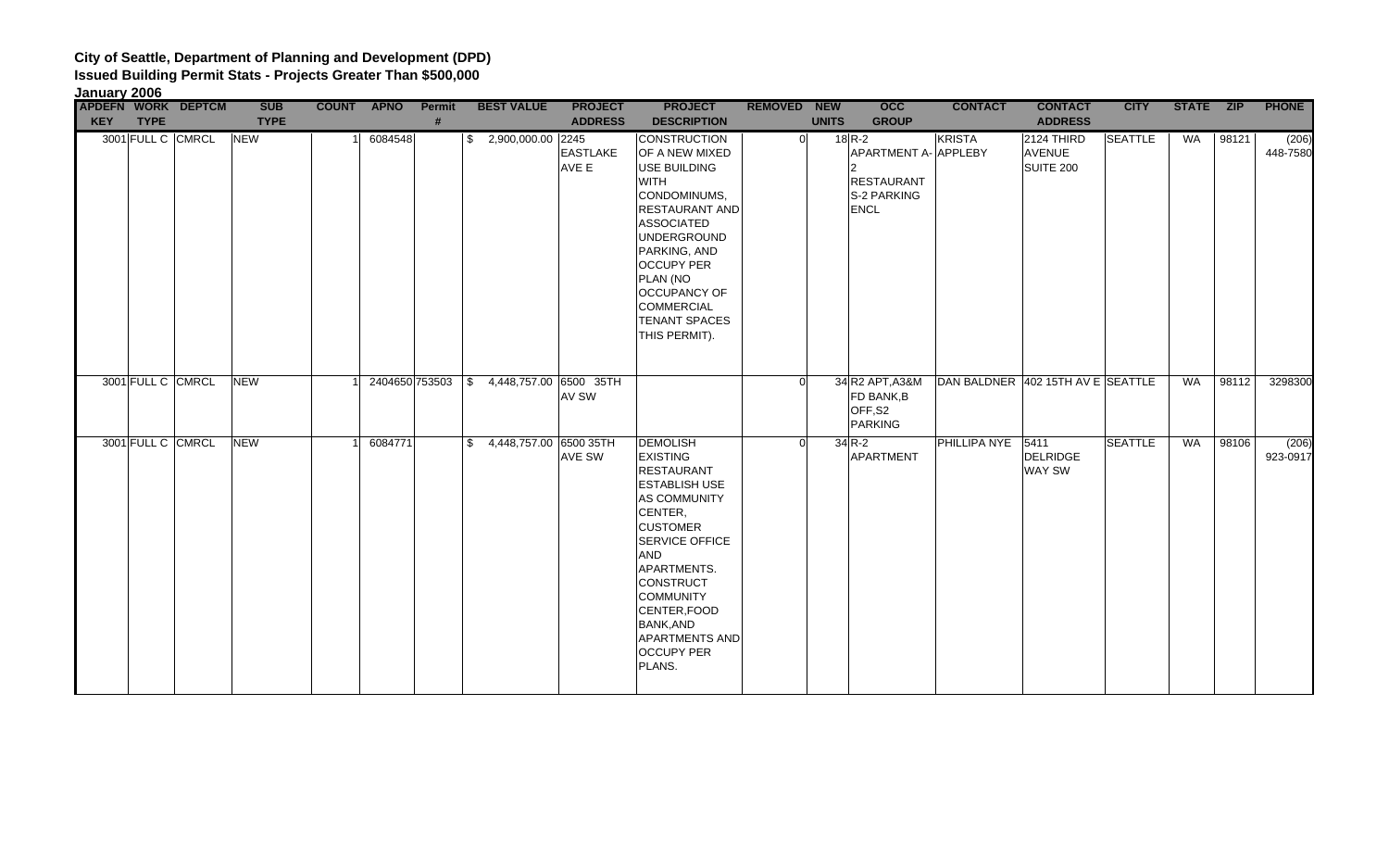| January 2006 |                   |                    |             |            |               |                                          |                          |                                                                                                                                                                                                                                                                                                                  |                    |              |                                                                                   |                                   |                                          |                |           |       |                   |
|--------------|-------------------|--------------------|-------------|------------|---------------|------------------------------------------|--------------------------|------------------------------------------------------------------------------------------------------------------------------------------------------------------------------------------------------------------------------------------------------------------------------------------------------------------|--------------------|--------------|-----------------------------------------------------------------------------------|-----------------------------------|------------------------------------------|----------------|-----------|-------|-------------------|
|              |                   | APDEFN WORK DEPTCM | <b>SUB</b>  | COUNT APNO | <b>Permit</b> | <b>BEST VALUE</b>                        | <b>PROJECT</b>           | <b>PROJECT</b>                                                                                                                                                                                                                                                                                                   | <b>REMOVED NEW</b> |              | <b>OCC</b>                                                                        | <b>CONTACT</b>                    | <b>CONTACT</b>                           | <b>CITY</b>    | STATE ZIP |       | <b>PHONE</b>      |
| <b>KEY</b>   | <b>TYPE</b>       |                    | <b>TYPE</b> |            | #             |                                          | <b>ADDRESS</b>           | <b>DESCRIPTION</b>                                                                                                                                                                                                                                                                                               |                    | <b>UNITS</b> | <b>GROUP</b>                                                                      |                                   | <b>ADDRESS</b>                           |                |           |       |                   |
|              | 3001 FULL C CMRCL |                    | <b>NEW</b>  | 6084548    |               | $$2,900,000.00$ 2245                     | <b>EASTLAKE</b><br>AVE E | <b>CONSTRUCTION</b><br>OF A NEW MIXED<br>USE BUILDING<br><b>WITH</b><br>CONDOMINUMS,<br><b>RESTAURANT AND</b><br><b>ASSOCIATED</b><br><b>UNDERGROUND</b><br>PARKING, AND<br><b>OCCUPY PER</b><br>PLAN (NO<br><b>OCCUPANCY OF</b><br><b>COMMERCIAL</b><br><b>TENANT SPACES</b><br>THIS PERMIT).                   | $\Omega$           |              | 18 R-2<br>APARTMENT A- APPLEBY<br><b>RESTAURANT</b><br>S-2 PARKING<br><b>ENCL</b> | <b>KRISTA</b>                     | 2124 THIRD<br><b>AVENUE</b><br>SUITE 200 | <b>SEATTLE</b> | WA        | 98121 | (206)<br>448-7580 |
|              | 3001 FULL C CMRCL |                    | <b>NEW</b>  |            |               | 2404650 753503 \$ 4,448,757.00 6500 35TH | AV SW                    |                                                                                                                                                                                                                                                                                                                  |                    |              | 34 R2 APT, A3&M<br>FD BANK, B<br>OFF,S2<br><b>PARKING</b>                         | DAN BALDNER 402 15TH AV E SEATTLE |                                          |                | WA        | 98112 | 3298300           |
|              | 3001 FULL C CMRCL |                    | <b>NEW</b>  | 6084771    |               | \$4,448,757.00 6500 35TH                 | AVE SW                   | <b>DEMOLISH</b><br><b>EXISTING</b><br><b>RESTAURANT</b><br><b>ESTABLISH USE</b><br>AS COMMUNITY<br>CENTER,<br><b>CUSTOMER</b><br><b>SERVICE OFFICE</b><br><b>AND</b><br>APARTMENTS.<br>CONSTRUCT<br><b>COMMUNITY</b><br>CENTER, FOOD<br><b>BANK, AND</b><br><b>APARTMENTS AND</b><br><b>OCCUPY PER</b><br>PLANS. | $\Omega$           |              | $34$ R-2<br><b>APARTMENT</b>                                                      | PHILLIPA NYE 5411                 | <b>DELRIDGE</b><br>WAY SW                | <b>SEATTLE</b> | WA        | 98106 | (206)<br>923-0917 |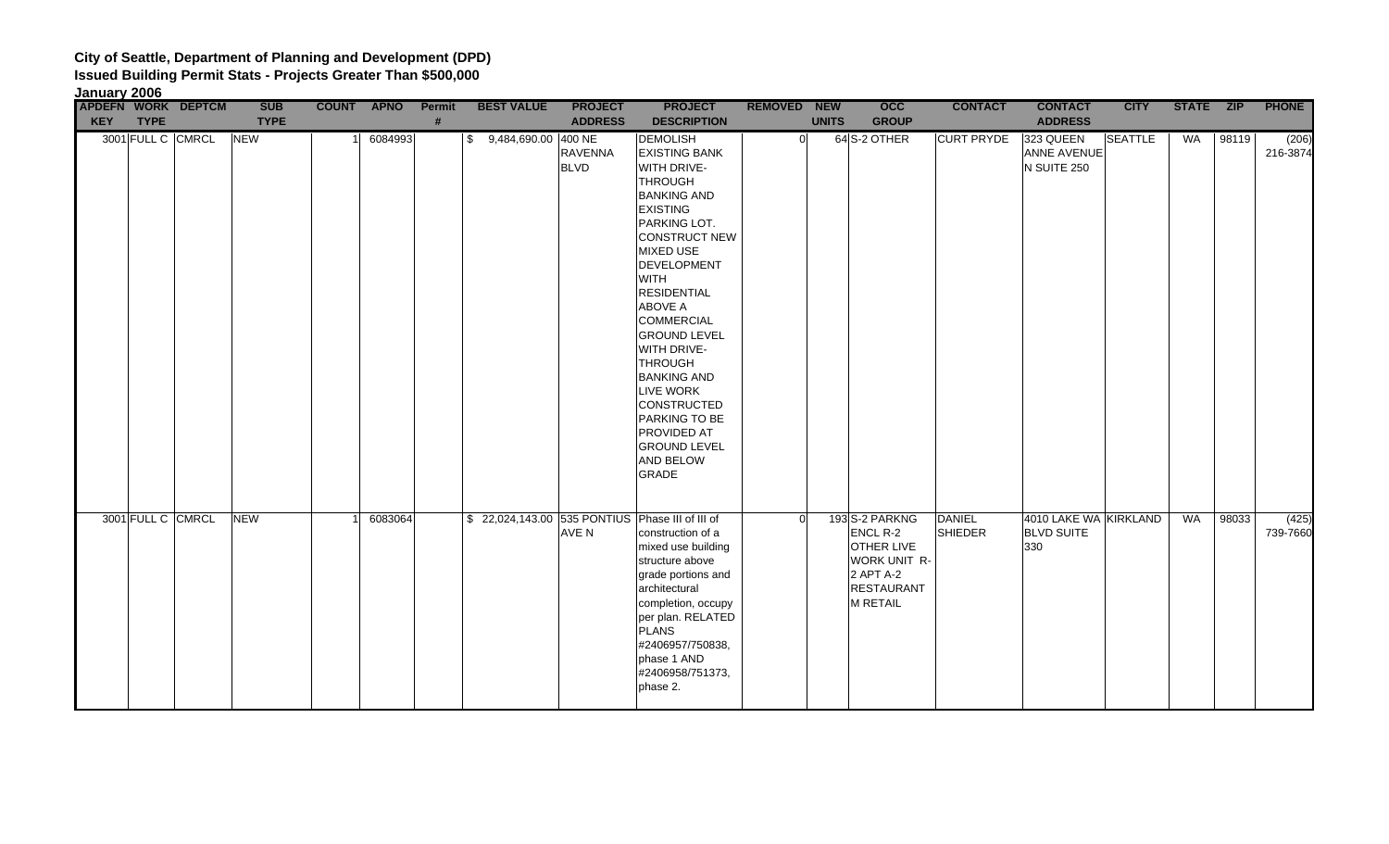|            | January 2006       |             |            |         |        |                        |                        |                                                                                                                                                                                                                                                                                                                                                                                                                                                                             |                    |              |                                                                                                                      |                                 |                                                   |                |           |       |                   |
|------------|--------------------|-------------|------------|---------|--------|------------------------|------------------------|-----------------------------------------------------------------------------------------------------------------------------------------------------------------------------------------------------------------------------------------------------------------------------------------------------------------------------------------------------------------------------------------------------------------------------------------------------------------------------|--------------------|--------------|----------------------------------------------------------------------------------------------------------------------|---------------------------------|---------------------------------------------------|----------------|-----------|-------|-------------------|
|            | APDEFN WORK DEPTCM | <b>SUB</b>  | COUNT APNO |         | Permit | <b>BEST VALUE</b>      | <b>PROJECT</b>         | <b>PROJECT</b>                                                                                                                                                                                                                                                                                                                                                                                                                                                              | <b>REMOVED NEW</b> |              | occ                                                                                                                  | <b>CONTACT</b>                  | <b>CONTACT</b>                                    | <b>CITY</b>    | STATE ZIP |       | <b>PHONE</b>      |
| <b>KEY</b> | <b>TYPE</b>        | <b>TYPE</b> |            |         | #      |                        | <b>ADDRESS</b>         | <b>DESCRIPTION</b>                                                                                                                                                                                                                                                                                                                                                                                                                                                          |                    | <b>UNITS</b> | <b>GROUP</b>                                                                                                         |                                 | <b>ADDRESS</b>                                    |                |           |       |                   |
|            | 3001 FULL C CMRCL  | <b>NEW</b>  |            | 6084993 |        | \$ 9,484,690.00 400 NE | RAVENNA<br><b>BLVD</b> | <b>DEMOLISH</b><br><b>EXISTING BANK</b><br>WITH DRIVE-<br><b>THROUGH</b><br><b>BANKING AND</b><br><b>EXISTING</b><br>PARKING LOT.<br><b>CONSTRUCT NEW</b><br><b>MIXED USE</b><br>DEVELOPMENT<br><b>WITH</b><br><b>RESIDENTIAL</b><br><b>ABOVE A</b><br><b>COMMERCIAL</b><br><b>GROUND LEVEL</b><br>WITH DRIVE-<br><b>THROUGH</b><br><b>BANKING AND</b><br><b>LIVE WORK</b><br>CONSTRUCTED<br>PARKING TO BE<br><b>PROVIDED AT</b><br><b>GROUND LEVEL</b><br><b>AND BELOW</b> | $\Omega$           |              | 64S-2 OTHER                                                                                                          | <b>CURT PRYDE</b>               | 323 QUEEN<br><b>ANNE AVENUE</b><br>N SUITE 250    | <b>SEATTLE</b> | WA        | 98119 | (206)<br>216-3874 |
|            | 3001 FULL C CMRCL  | <b>NEW</b>  |            | 6083064 |        |                        | AVE N                  | GRADE<br>\$22,024,143.00 535 PONTIUS Phase III of III of<br>construction of a<br>mixed use building<br>structure above<br>grade portions and<br>architectural<br>completion, occupy<br>per plan. RELATED<br><b>PLANS</b><br>#2406957/750838,<br>phase 1 AND<br>#2406958/751373,<br>phase 2.                                                                                                                                                                                 | $\Omega$           |              | 193 S-2 PARKNG<br>ENCL R-2<br><b>OTHER LIVE</b><br>WORK UNIT R-<br>2 APT A-2<br><b>RESTAURANT</b><br><b>M RETAIL</b> | <b>DANIEL</b><br><b>SHIEDER</b> | 4010 LAKE WA KIRKLAND<br><b>BLVD SUITE</b><br>330 |                | <b>WA</b> | 98033 | (425)<br>739-7660 |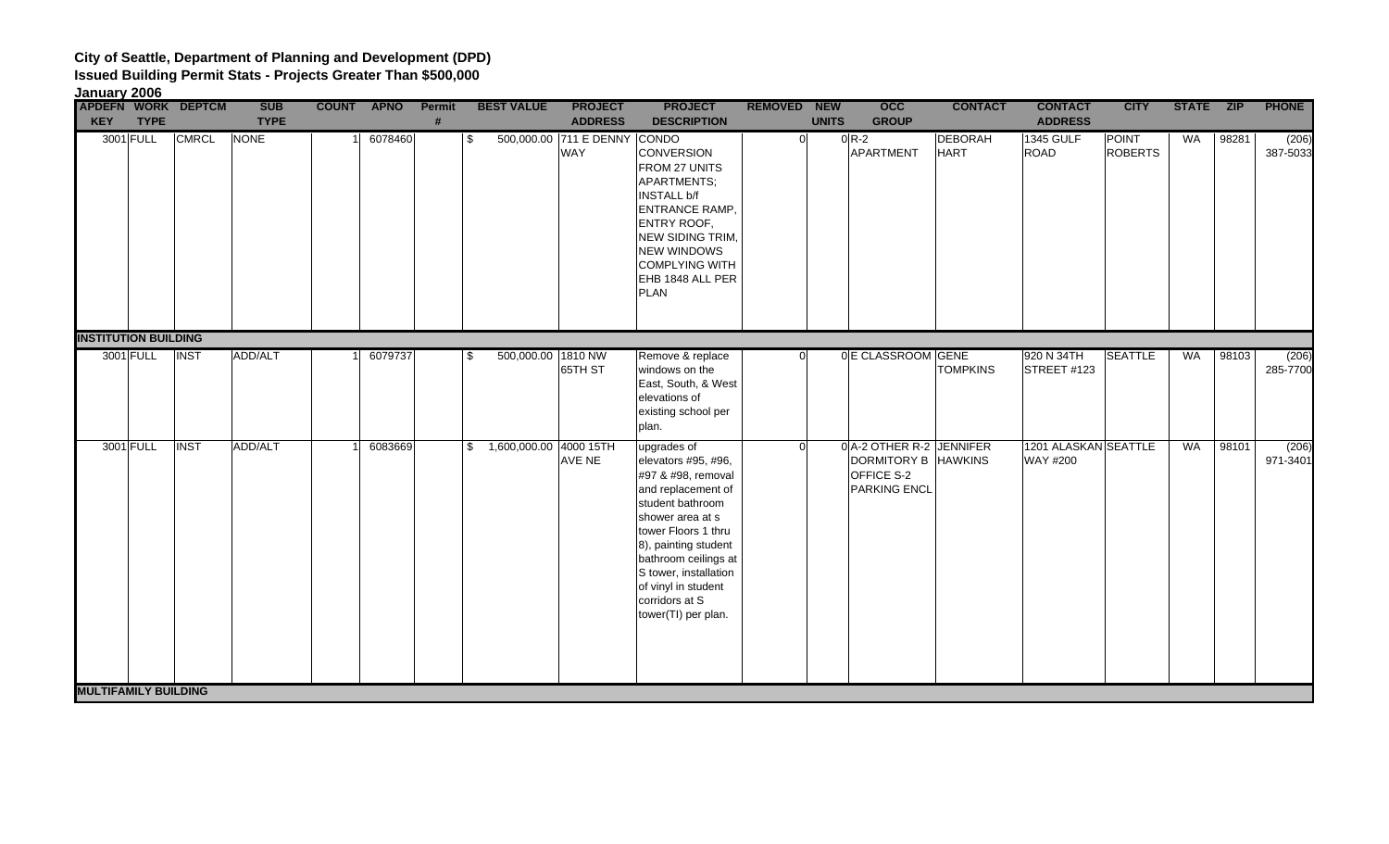| January 2006                |             |                           |             |            |         |        |                           |                                            |                                                                                                                                                                                                                                                                                        |                    |              |                                                                               |                               |                                         |                                |           |       |                   |
|-----------------------------|-------------|---------------------------|-------------|------------|---------|--------|---------------------------|--------------------------------------------|----------------------------------------------------------------------------------------------------------------------------------------------------------------------------------------------------------------------------------------------------------------------------------------|--------------------|--------------|-------------------------------------------------------------------------------|-------------------------------|-----------------------------------------|--------------------------------|-----------|-------|-------------------|
|                             |             | <b>APDEFN WORK DEPTCM</b> | <b>SUB</b>  | COUNT APNO |         | Permit | <b>BEST VALUE</b>         | <b>PROJECT</b>                             | <b>PROJECT</b>                                                                                                                                                                                                                                                                         | <b>REMOVED NEW</b> |              | $\overline{occ}$                                                              | <b>CONTACT</b>                | <b>CONTACT</b>                          | <b>CITY</b>                    | STATE ZIP |       | <b>PHONE</b>      |
| <b>KEY</b>                  | <b>TYPE</b> |                           | <b>TYPE</b> |            |         | #      |                           | <b>ADDRESS</b>                             | <b>DESCRIPTION</b>                                                                                                                                                                                                                                                                     |                    | <b>UNITS</b> | <b>GROUP</b>                                                                  |                               | <b>ADDRESS</b>                          |                                |           |       |                   |
|                             | 3001 FULL   | <b>CMRCL</b>              | NONE        |            | 6078460 |        | \$                        | 500,000.00 711 E DENNY CONDO<br><b>WAY</b> | <b>CONVERSION</b><br>FROM 27 UNITS<br>APARTMENTS;<br><b>INSTALL b/f</b><br><b>ENTRANCE RAMP,</b><br><b>ENTRY ROOF,</b><br><b>NEW SIDING TRIM,</b><br><b>NEW WINDOWS</b><br><b>COMPLYING WITH</b><br>EHB 1848 ALL PER<br><b>PLAN</b>                                                    |                    | $\Omega$     | $0R-2$<br>APARTMENT                                                           | <b>DEBORAH</b><br><b>HART</b> | <b>1345 GULF</b><br>ROAD                | <b>POINT</b><br><b>ROBERTS</b> | WA        | 98281 | (206)<br>387-5033 |
| <b>INSTITUTION BUILDING</b> |             |                           |             |            |         |        |                           |                                            |                                                                                                                                                                                                                                                                                        |                    |              |                                                                               |                               |                                         |                                |           |       |                   |
|                             | 3001 FULL   | <b>INST</b>               | ADD/ALT     |            | 6079737 |        | \$<br>500,000.00 1810 NW  | 65TH ST                                    | Remove & replace<br>windows on the<br>East, South, & West<br>elevations of<br>existing school per<br>plan.                                                                                                                                                                             |                    | $\Omega$     | 0 E CLASSROOM GENE                                                            | <b>TOMPKINS</b>               | 920 N 34TH<br>STREET #123               | <b>SEATTLE</b>                 | WA        | 98103 | (206)<br>285-7700 |
|                             | 3001 FULL   | <b>INST</b>               | ADD/ALT     |            | 6083669 |        | \$ 1,600,000.00 4000 15TH | AVE NE                                     | upgrades of<br>elevators #95, #96,<br>#97 & #98, removal<br>and replacement of<br>student bathroom<br>shower area at s<br>tower Floors 1 thru<br>8), painting student<br>bathroom ceilings at<br>S tower, installation<br>of vinyl in student<br>corridors at S<br>tower(TI) per plan. |                    | <sup>o</sup> | 0 A-2 OTHER R-2 JENNIFER<br>DORMITORY B HAWKINS<br>OFFICE S-2<br>PARKING ENCL |                               | 1201 ALASKAN SEATTLE<br><b>WAY #200</b> |                                | WA        | 98101 | (206)<br>971-3401 |
| <b>MULTIFAMILY BUILDING</b> |             |                           |             |            |         |        |                           |                                            |                                                                                                                                                                                                                                                                                        |                    |              |                                                                               |                               |                                         |                                |           |       |                   |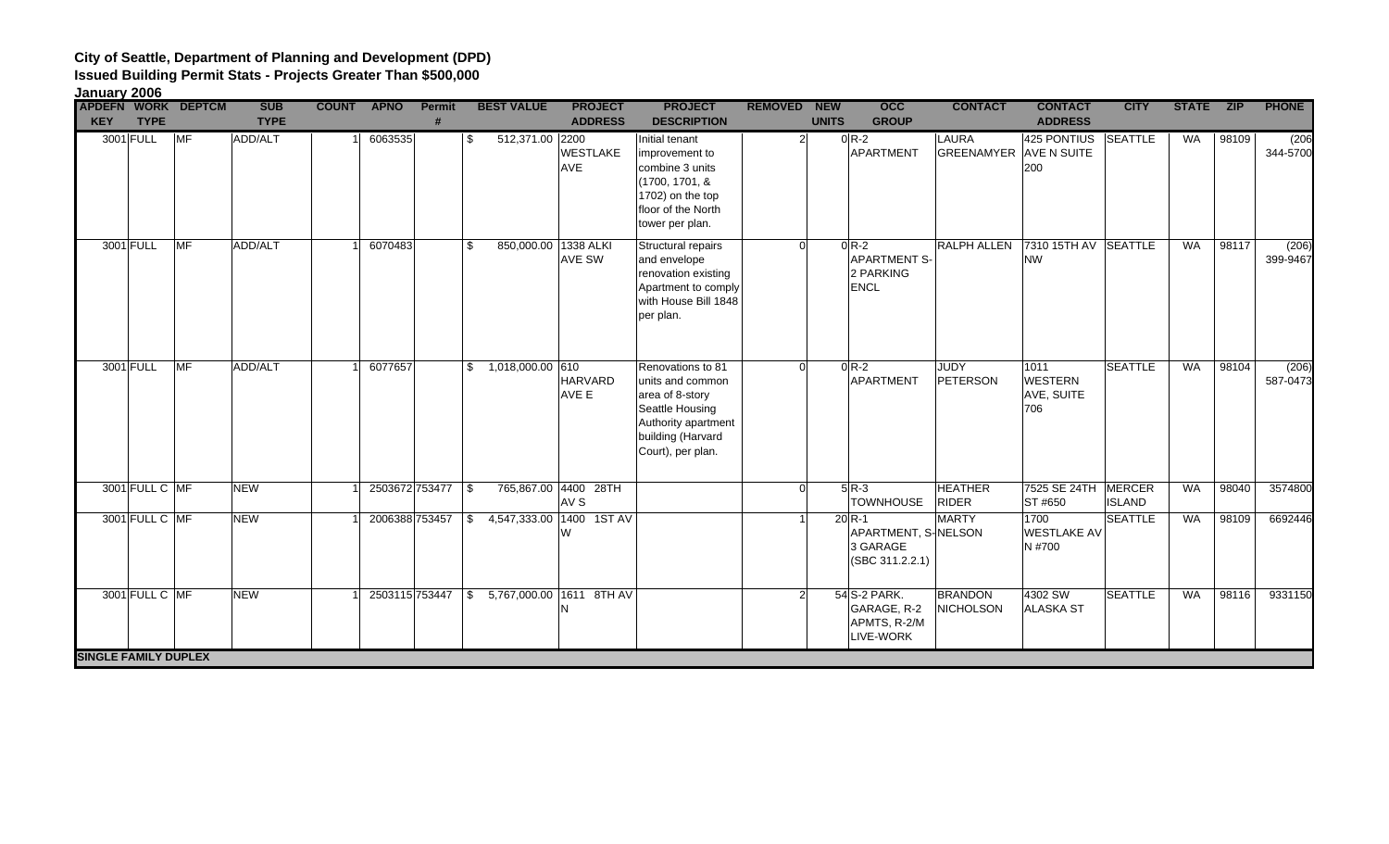### **City of Seattle, Department of Planning and Development (DPD) Issued Building Permit Stats - Projects Greater Than \$500,000**

| <b>PHONE</b><br><b>APDEFN WORK DEPTCM</b><br><b>SUB</b><br><b>PROJECT</b><br><b>PROJECT</b><br>occ<br><b>CONTACT</b><br><b>CONTACT</b><br><b>STATE</b><br><b>COUNT</b><br><b>APNO</b><br>Permit<br><b>BEST VALUE</b><br><b>REMOVED</b><br><b>NEW</b><br><b>CITY</b><br><b>ZIP</b><br><b>KEY</b><br><b>TYPE</b><br><b>TYPE</b><br><b>ADDRESS</b><br><b>DESCRIPTION</b><br><b>GROUP</b><br><b>UNITS</b><br><b>ADDRESS</b><br>#<br>3001 FULL<br>MF<br>ADD/ALT<br>512,371.00 2200<br>$0R-2$<br><b>LAURA</b><br>425 PONTIUS<br>SEATTLE<br><b>WA</b><br>6063535<br>98109<br>\$<br>Initial tenant<br>$\overline{2}$<br><b>WESTLAKE</b><br>APARTMENT<br><b>GREENAMYER AVE N SUITE</b><br>improvement to<br><b>AVE</b><br>200<br>combine 3 units<br>(1700, 1701, &<br>1702) on the top<br>floor of the North<br>tower per plan.<br>3001 FULL<br><b>MF</b><br>ADD/ALT<br>6070483<br>850,000.00 1338 ALKI<br><b>RALPH ALLEN</b><br>7310 15TH AV SEATTLE<br>98117<br>Structural repairs<br>$0 R-2$<br><b>WA</b><br>\$.<br>$\Omega$<br><b>APARTMENT S-</b><br>AVE SW<br>and envelope<br><b>NW</b><br>2 PARKING<br>renovation existing<br>Apartment to comply<br><b>ENCL</b><br>with House Bill 1848<br>per plan.<br><b>MF</b><br>6077657<br><b>SEATTLE</b><br>3001 FULL<br>ADD/ALT<br>$$1,018,000.00$ 610<br>Renovations to 81<br>$0R-2$<br>JUDY<br>1011<br><b>WA</b><br>98104<br>$\Omega$<br><b>HARVARD</b><br>APARTMENT<br><b>WESTERN</b><br>units and common<br>PETERSON<br>AVE E<br>AVE, SUITE<br>area of 8-story<br>Seattle Housing<br>706<br>Authority apartment<br>building (Harvard<br>Court), per plan.<br><b>HEATHER</b><br>3001 FULL C MF<br><b>NEW</b><br>2503672753477 \$<br>765,867.00 4400 28TH<br>$5R-3$<br>7525 SE 24TH MERCER<br>98040<br><b>WA</b><br>$\Omega$<br>AV <sub>S</sub><br><b>TOWNHOUSE</b><br><b>RIDER</b><br>ST #650<br><b>ISLAND</b><br>4,547,333.00 1400 1ST AV<br><b>NEW</b><br><b>MARTY</b><br>1700<br><b>SEATTLE</b><br><b>WA</b><br>98109<br>3001 FULL C MF<br>2006388 753457<br>$20$ <sub>R-1</sub><br>\$<br>APARTMENT, S-NELSON<br><b>WESTLAKE AV</b><br>W<br>3 GARAGE<br>N #700<br>(SBC 311.2.2.1)<br>3001 FULL C MF<br>54 S-2 PARK.<br><b>BRANDON</b><br>4302 SW<br><b>SEATTLE</b><br><b>NEW</b><br>2503115 753447<br>5,767,000.00 1611 8TH AV<br><b>WA</b><br>98116<br>\$<br>GARAGE, R-2<br>NICHOLSON<br><b>ALASKA ST</b><br>N<br>APMTS, R-2/M<br>LIVE-WORK<br><b>SINGLE FAMILY DUPLEX</b> | January 2006 |  |  |  |  |  |  |  |  |                   |
|-------------------------------------------------------------------------------------------------------------------------------------------------------------------------------------------------------------------------------------------------------------------------------------------------------------------------------------------------------------------------------------------------------------------------------------------------------------------------------------------------------------------------------------------------------------------------------------------------------------------------------------------------------------------------------------------------------------------------------------------------------------------------------------------------------------------------------------------------------------------------------------------------------------------------------------------------------------------------------------------------------------------------------------------------------------------------------------------------------------------------------------------------------------------------------------------------------------------------------------------------------------------------------------------------------------------------------------------------------------------------------------------------------------------------------------------------------------------------------------------------------------------------------------------------------------------------------------------------------------------------------------------------------------------------------------------------------------------------------------------------------------------------------------------------------------------------------------------------------------------------------------------------------------------------------------------------------------------------------------------------------------------------------------------------------------------------------------------------------------------------------------------------------------------------------------------------------------------------------------------------------------------------------------------------------------------------------------------------------------------------------------------------------------------------|--------------|--|--|--|--|--|--|--|--|-------------------|
|                                                                                                                                                                                                                                                                                                                                                                                                                                                                                                                                                                                                                                                                                                                                                                                                                                                                                                                                                                                                                                                                                                                                                                                                                                                                                                                                                                                                                                                                                                                                                                                                                                                                                                                                                                                                                                                                                                                                                                                                                                                                                                                                                                                                                                                                                                                                                                                                                         |              |  |  |  |  |  |  |  |  |                   |
|                                                                                                                                                                                                                                                                                                                                                                                                                                                                                                                                                                                                                                                                                                                                                                                                                                                                                                                                                                                                                                                                                                                                                                                                                                                                                                                                                                                                                                                                                                                                                                                                                                                                                                                                                                                                                                                                                                                                                                                                                                                                                                                                                                                                                                                                                                                                                                                                                         |              |  |  |  |  |  |  |  |  | (206)<br>344-5700 |
|                                                                                                                                                                                                                                                                                                                                                                                                                                                                                                                                                                                                                                                                                                                                                                                                                                                                                                                                                                                                                                                                                                                                                                                                                                                                                                                                                                                                                                                                                                                                                                                                                                                                                                                                                                                                                                                                                                                                                                                                                                                                                                                                                                                                                                                                                                                                                                                                                         |              |  |  |  |  |  |  |  |  | (206)<br>399-9467 |
|                                                                                                                                                                                                                                                                                                                                                                                                                                                                                                                                                                                                                                                                                                                                                                                                                                                                                                                                                                                                                                                                                                                                                                                                                                                                                                                                                                                                                                                                                                                                                                                                                                                                                                                                                                                                                                                                                                                                                                                                                                                                                                                                                                                                                                                                                                                                                                                                                         |              |  |  |  |  |  |  |  |  | (206)<br>587-0473 |
|                                                                                                                                                                                                                                                                                                                                                                                                                                                                                                                                                                                                                                                                                                                                                                                                                                                                                                                                                                                                                                                                                                                                                                                                                                                                                                                                                                                                                                                                                                                                                                                                                                                                                                                                                                                                                                                                                                                                                                                                                                                                                                                                                                                                                                                                                                                                                                                                                         |              |  |  |  |  |  |  |  |  | 3574800           |
|                                                                                                                                                                                                                                                                                                                                                                                                                                                                                                                                                                                                                                                                                                                                                                                                                                                                                                                                                                                                                                                                                                                                                                                                                                                                                                                                                                                                                                                                                                                                                                                                                                                                                                                                                                                                                                                                                                                                                                                                                                                                                                                                                                                                                                                                                                                                                                                                                         |              |  |  |  |  |  |  |  |  | 6692446           |
|                                                                                                                                                                                                                                                                                                                                                                                                                                                                                                                                                                                                                                                                                                                                                                                                                                                                                                                                                                                                                                                                                                                                                                                                                                                                                                                                                                                                                                                                                                                                                                                                                                                                                                                                                                                                                                                                                                                                                                                                                                                                                                                                                                                                                                                                                                                                                                                                                         |              |  |  |  |  |  |  |  |  | 9331150           |